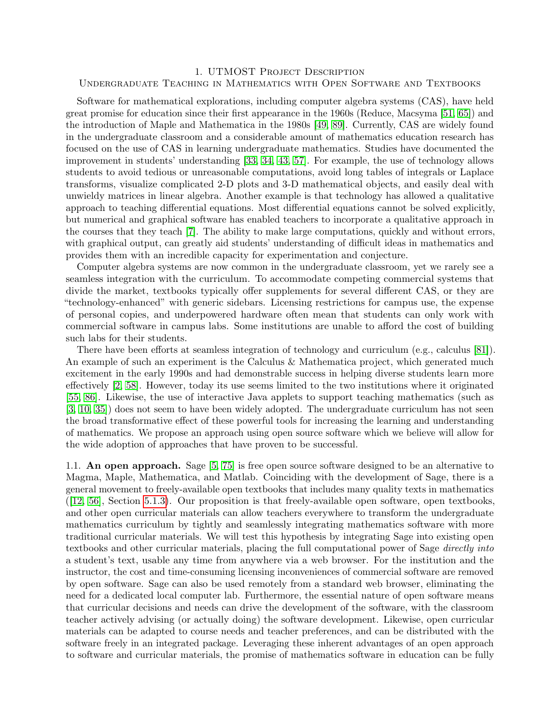## 1. UTMOST Project Description Undergraduate Teaching in Mathematics with Open Software and Textbooks

Software for mathematical explorations, including computer algebra systems (CAS), have held great promise for education since their first appearance in the 1960s (Reduce, Macsyma [\[51,](#page-17-0) [65\]](#page-17-1)) and the introduction of Maple and Mathematica in the 1980s [\[49,](#page-16-0) [89\]](#page-18-0). Currently, CAS are widely found in the undergraduate classroom and a considerable amount of mathematics education research has focused on the use of CAS in learning undergraduate mathematics. Studies have documented the improvement in students' understanding [\[33,](#page-16-1) [34,](#page-16-2) [43,](#page-16-3) [57\]](#page-17-2). For example, the use of technology allows students to avoid tedious or unreasonable computations, avoid long tables of integrals or Laplace transforms, visualize complicated 2-D plots and 3-D mathematical objects, and easily deal with unwieldy matrices in linear algebra. Another example is that technology has allowed a qualitative approach to teaching differential equations. Most differential equations cannot be solved explicitly, but numerical and graphical software has enabled teachers to incorporate a qualitative approach in the courses that they teach [\[7\]](#page-15-0). The ability to make large computations, quickly and without errors, with graphical output, can greatly aid students' understanding of difficult ideas in mathematics and provides them with an incredible capacity for experimentation and conjecture.

Computer algebra systems are now common in the undergraduate classroom, yet we rarely see a seamless integration with the curriculum. To accommodate competing commercial systems that divide the market, textbooks typically offer supplements for several different CAS, or they are "technology-enhanced" with generic sidebars. Licensing restrictions for campus use, the expense of personal copies, and underpowered hardware often mean that students can only work with commercial software in campus labs. Some institutions are unable to afford the cost of building such labs for their students.

There have been efforts at seamless integration of technology and curriculum (e.g., calculus [\[81\]](#page-18-1)). An example of such an experiment is the Calculus & Mathematica project, which generated much excitement in the early 1990s and had demonstrable success in helping diverse students learn more effectively [\[2,](#page-15-1) [58\]](#page-17-3). However, today its use seems limited to the two institutions where it originated [\[55,](#page-17-4) [86\]](#page-18-2). Likewise, the use of interactive Java applets to support teaching mathematics (such as [\[3,](#page-15-2) [10,](#page-15-3) [35\]](#page-16-4)) does not seem to have been widely adopted. The undergraduate curriculum has not seen the broad transformative effect of these powerful tools for increasing the learning and understanding of mathematics. We propose an approach using open source software which we believe will allow for the wide adoption of approaches that have proven to be successful.

1.1. An open approach. Sage [\[5,](#page-15-4) [75\]](#page-17-5) is free open source software designed to be an alternative to Magma, Maple, Mathematica, and Matlab. Coinciding with the development of Sage, there is a general movement to freely-available open textbooks that includes many quality texts in mathematics ([\[12,](#page-15-5) [56\]](#page-17-6), Section [5.1.3\)](#page-7-0). Our proposition is that freely-available open software, open textbooks, and other open curricular materials can allow teachers everywhere to transform the undergraduate mathematics curriculum by tightly and seamlessly integrating mathematics software with more traditional curricular materials. We will test this hypothesis by integrating Sage into existing open textbooks and other curricular materials, placing the full computational power of Sage directly into a student's text, usable any time from anywhere via a web browser. For the institution and the instructor, the cost and time-consuming licensing inconveniences of commercial software are removed by open software. Sage can also be used remotely from a standard web browser, eliminating the need for a dedicated local computer lab. Furthermore, the essential nature of open software means that curricular decisions and needs can drive the development of the software, with the classroom teacher actively advising (or actually doing) the software development. Likewise, open curricular materials can be adapted to course needs and teacher preferences, and can be distributed with the software freely in an integrated package. Leveraging these inherent advantages of an open approach to software and curricular materials, the promise of mathematics software in education can be fully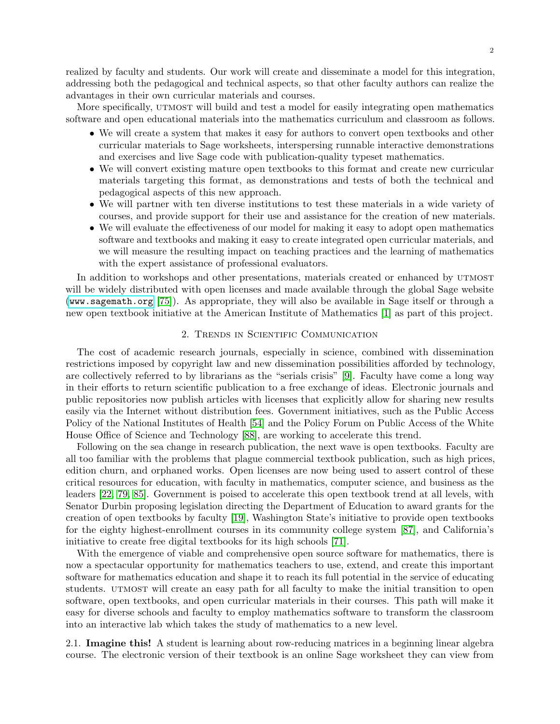realized by faculty and students. Our work will create and disseminate a model for this integration, addressing both the pedagogical and technical aspects, so that other faculty authors can realize the advantages in their own curricular materials and courses.

More specifically, UTMOST will build and test a model for easily integrating open mathematics software and open educational materials into the mathematics curriculum and classroom as follows.

- We will create a system that makes it easy for authors to convert open textbooks and other curricular materials to Sage worksheets, interspersing runnable interactive demonstrations and exercises and live Sage code with publication-quality typeset mathematics.
- We will convert existing mature open textbooks to this format and create new curricular materials targeting this format, as demonstrations and tests of both the technical and pedagogical aspects of this new approach.
- We will partner with ten diverse institutions to test these materials in a wide variety of courses, and provide support for their use and assistance for the creation of new materials.
- We will evaluate the effectiveness of our model for making it easy to adopt open mathematics software and textbooks and making it easy to create integrated open curricular materials, and we will measure the resulting impact on teaching practices and the learning of mathematics with the expert assistance of professional evaluators.

In addition to workshops and other presentations, materials created or enhanced by UTMOST will be widely distributed with open licenses and made available through the global Sage website (<www.sagemath.org> [\[75\]](#page-17-5)). As appropriate, they will also be available in Sage itself or through a new open textbook initiative at the American Institute of Mathematics [\[1\]](#page-15-6) as part of this project.

## 2. Trends in Scientific Communication

The cost of academic research journals, especially in science, combined with dissemination restrictions imposed by copyright law and new dissemination possibilities afforded by technology, are collectively referred to by librarians as the "serials crisis" [\[9\]](#page-15-7). Faculty have come a long way in their efforts to return scientific publication to a free exchange of ideas. Electronic journals and public repositories now publish articles with licenses that explicitly allow for sharing new results easily via the Internet without distribution fees. Government initiatives, such as the Public Access Policy of the National Institutes of Health [\[54\]](#page-17-7) and the Policy Forum on Public Access of the White House Office of Science and Technology [\[88\]](#page-18-3), are working to accelerate this trend.

Following on the sea change in research publication, the next wave is open textbooks. Faculty are all too familiar with the problems that plague commercial textbook publication, such as high prices, edition churn, and orphaned works. Open licenses are now being used to assert control of these critical resources for education, with faculty in mathematics, computer science, and business as the leaders [\[22,](#page-15-8) [79,](#page-17-8) [85\]](#page-18-4). Government is poised to accelerate this open textbook trend at all levels, with Senator Durbin proposing legislation directing the Department of Education to award grants for the creation of open textbooks by faculty [\[19\]](#page-15-9), Washington State's initiative to provide open textbooks for the eighty highest-enrollment courses in its community college system [\[87\]](#page-18-5), and California's initiative to create free digital textbooks for its high schools [\[71\]](#page-17-9).

With the emergence of viable and comprehensive open source software for mathematics, there is now a spectacular opportunity for mathematics teachers to use, extend, and create this important software for mathematics education and shape it to reach its full potential in the service of educating students. UTMOST will create an easy path for all faculty to make the initial transition to open software, open textbooks, and open curricular materials in their courses. This path will make it easy for diverse schools and faculty to employ mathematics software to transform the classroom into an interactive lab which takes the study of mathematics to a new level.

2.1. Imagine this! A student is learning about row-reducing matrices in a beginning linear algebra course. The electronic version of their textbook is an online Sage worksheet they can view from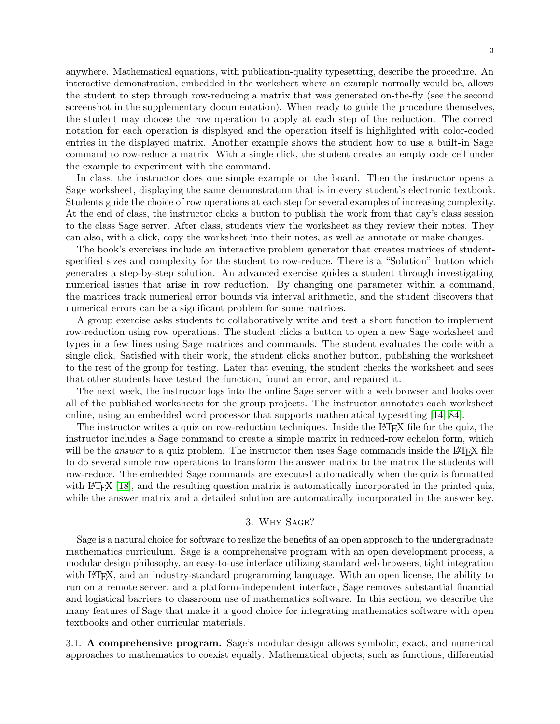anywhere. Mathematical equations, with publication-quality typesetting, describe the procedure. An interactive demonstration, embedded in the worksheet where an example normally would be, allows the student to step through row-reducing a matrix that was generated on-the-fly (see the second screenshot in the supplementary documentation). When ready to guide the procedure themselves, the student may choose the row operation to apply at each step of the reduction. The correct notation for each operation is displayed and the operation itself is highlighted with color-coded entries in the displayed matrix. Another example shows the student how to use a built-in Sage command to row-reduce a matrix. With a single click, the student creates an empty code cell under the example to experiment with the command.

In class, the instructor does one simple example on the board. Then the instructor opens a Sage worksheet, displaying the same demonstration that is in every student's electronic textbook. Students guide the choice of row operations at each step for several examples of increasing complexity. At the end of class, the instructor clicks a button to publish the work from that day's class session to the class Sage server. After class, students view the worksheet as they review their notes. They can also, with a click, copy the worksheet into their notes, as well as annotate or make changes.

The book's exercises include an interactive problem generator that creates matrices of studentspecified sizes and complexity for the student to row-reduce. There is a "Solution" button which generates a step-by-step solution. An advanced exercise guides a student through investigating numerical issues that arise in row reduction. By changing one parameter within a command, the matrices track numerical error bounds via interval arithmetic, and the student discovers that numerical errors can be a significant problem for some matrices.

A group exercise asks students to collaboratively write and test a short function to implement row-reduction using row operations. The student clicks a button to open a new Sage worksheet and types in a few lines using Sage matrices and commands. The student evaluates the code with a single click. Satisfied with their work, the student clicks another button, publishing the worksheet to the rest of the group for testing. Later that evening, the student checks the worksheet and sees that other students have tested the function, found an error, and repaired it.

The next week, the instructor logs into the online Sage server with a web browser and looks over all of the published worksheets for the group projects. The instructor annotates each worksheet online, using an embedded word processor that supports mathematical typesetting [\[14,](#page-15-10) [84\]](#page-18-6).

The instructor writes a quiz on row-reduction techniques. Inside the LAT<sub>EX</sub> file for the quiz, the instructor includes a Sage command to create a simple matrix in reduced-row echelon form, which will be the *answer* to a quiz problem. The instructor then uses Sage commands inside the LAT<sub>EX</sub> file to do several simple row operations to transform the answer matrix to the matrix the students will row-reduce. The embedded Sage commands are executed automatically when the quiz is formatted with LAT<sub>EX</sub> [\[18\]](#page-15-11), and the resulting question matrix is automatically incorporated in the printed quiz, while the answer matrix and a detailed solution are automatically incorporated in the answer key.

### 3. Why Sage?

Sage is a natural choice for software to realize the benefits of an open approach to the undergraduate mathematics curriculum. Sage is a comprehensive program with an open development process, a modular design philosophy, an easy-to-use interface utilizing standard web browsers, tight integration with LAT<sub>EX</sub>, and an industry-standard programming language. With an open license, the ability to run on a remote server, and a platform-independent interface, Sage removes substantial financial and logistical barriers to classroom use of mathematics software. In this section, we describe the many features of Sage that make it a good choice for integrating mathematics software with open textbooks and other curricular materials.

3.1. A comprehensive program. Sage's modular design allows symbolic, exact, and numerical approaches to mathematics to coexist equally. Mathematical objects, such as functions, differential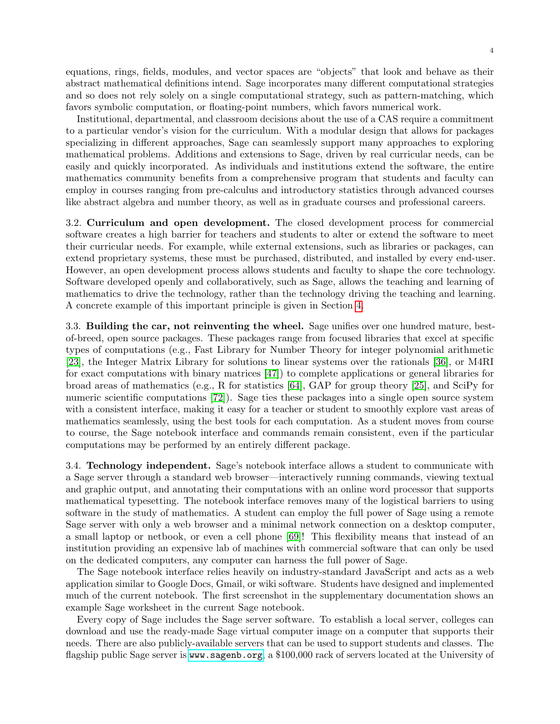equations, rings, fields, modules, and vector spaces are "objects" that look and behave as their abstract mathematical definitions intend. Sage incorporates many different computational strategies and so does not rely solely on a single computational strategy, such as pattern-matching, which favors symbolic computation, or floating-point numbers, which favors numerical work.

Institutional, departmental, and classroom decisions about the use of a CAS require a commitment to a particular vendor's vision for the curriculum. With a modular design that allows for packages specializing in different approaches, Sage can seamlessly support many approaches to exploring mathematical problems. Additions and extensions to Sage, driven by real curricular needs, can be easily and quickly incorporated. As individuals and institutions extend the software, the entire mathematics community benefits from a comprehensive program that students and faculty can employ in courses ranging from pre-calculus and introductory statistics through advanced courses like abstract algebra and number theory, as well as in graduate courses and professional careers.

3.2. Curriculum and open development. The closed development process for commercial software creates a high barrier for teachers and students to alter or extend the software to meet their curricular needs. For example, while external extensions, such as libraries or packages, can extend proprietary systems, these must be purchased, distributed, and installed by every end-user. However, an open development process allows students and faculty to shape the core technology. Software developed openly and collaboratively, such as Sage, allows the teaching and learning of mathematics to drive the technology, rather than the technology driving the teaching and learning. A concrete example of this important principle is given in Section [4.](#page-4-0)

3.3. Building the car, not reinventing the wheel. Sage unifies over one hundred mature, bestof-breed, open source packages. These packages range from focused libraries that excel at specific types of computations (e.g., Fast Library for Number Theory for integer polynomial arithmetic [\[23\]](#page-15-12), the Integer Matrix Library for solutions to linear systems over the rationals [\[36\]](#page-16-5), or M4RI for exact computations with binary matrices [\[47\]](#page-16-6)) to complete applications or general libraries for broad areas of mathematics (e.g., R for statistics  $[64]$ , GAP for group theory [\[25\]](#page-15-13), and SciPy for numeric scientific computations [\[72\]](#page-17-11)). Sage ties these packages into a single open source system with a consistent interface, making it easy for a teacher or student to smoothly explore vast areas of mathematics seamlessly, using the best tools for each computation. As a student moves from course to course, the Sage notebook interface and commands remain consistent, even if the particular computations may be performed by an entirely different package.

3.4. Technology independent. Sage's notebook interface allows a student to communicate with a Sage server through a standard web browser—interactively running commands, viewing textual and graphic output, and annotating their computations with an online word processor that supports mathematical typesetting. The notebook interface removes many of the logistical barriers to using software in the study of mathematics. A student can employ the full power of Sage using a remote Sage server with only a web browser and a minimal network connection on a desktop computer, a small laptop or netbook, or even a cell phone [\[69\]](#page-17-12)! This flexibility means that instead of an institution providing an expensive lab of machines with commercial software that can only be used on the dedicated computers, any computer can harness the full power of Sage.

The Sage notebook interface relies heavily on industry-standard JavaScript and acts as a web application similar to Google Docs, Gmail, or wiki software. Students have designed and implemented much of the current notebook. The first screenshot in the supplementary documentation shows an example Sage worksheet in the current Sage notebook.

Every copy of Sage includes the Sage server software. To establish a local server, colleges can download and use the ready-made Sage virtual computer image on a computer that supports their needs. There are also publicly-available servers that can be used to support students and classes. The flagship public Sage server is <www.sagenb.org>, a \$100,000 rack of servers located at the University of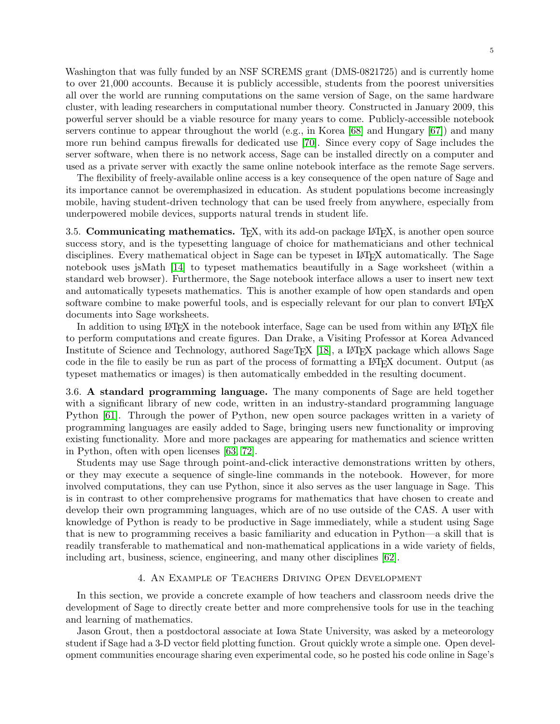Washington that was fully funded by an NSF SCREMS grant (DMS-0821725) and is currently home to over 21,000 accounts. Because it is publicly accessible, students from the poorest universities all over the world are running computations on the same version of Sage, on the same hardware cluster, with leading researchers in computational number theory. Constructed in January 2009, this powerful server should be a viable resource for many years to come. Publicly-accessible notebook servers continue to appear throughout the world (e.g., in Korea [\[68\]](#page-17-13) and Hungary [\[67\]](#page-17-14)) and many more run behind campus firewalls for dedicated use [\[70\]](#page-17-15). Since every copy of Sage includes the

used as a private server with exactly the same online notebook interface as the remote Sage servers. The flexibility of freely-available online access is a key consequence of the open nature of Sage and its importance cannot be overemphasized in education. As student populations become increasingly mobile, having student-driven technology that can be used freely from anywhere, especially from underpowered mobile devices, supports natural trends in student life.

server software, when there is no network access, Sage can be installed directly on a computer and

3.5. Communicating mathematics. T<sub>E</sub>X, with its add-on package LAT<sub>E</sub>X, is another open source success story, and is the typesetting language of choice for mathematicians and other technical disciplines. Every mathematical object in Sage can be typeset in LAT<sub>EX</sub> automatically. The Sage notebook uses jsMath [\[14\]](#page-15-10) to typeset mathematics beautifully in a Sage worksheet (within a standard web browser). Furthermore, the Sage notebook interface allows a user to insert new text and automatically typesets mathematics. This is another example of how open standards and open software combine to make powerful tools, and is especially relevant for our plan to convert LAT<sub>EX</sub> documents into Sage worksheets.

In addition to using LAT<sub>EX</sub> in the notebook interface, Sage can be used from within any LAT<sub>EX</sub> file to perform computations and create figures. Dan Drake, a Visiting Professor at Korea Advanced Institute of Science and Technology, authored SageT<sub>EX</sub> [\[18\]](#page-15-11), a L<sup>A</sup>T<sub>E</sub>X package which allows Sage code in the file to easily be run as part of the process of formatting a LATEX document. Output (as typeset mathematics or images) is then automatically embedded in the resulting document.

3.6. A standard programming language. The many components of Sage are held together with a significant library of new code, written in an industry-standard programming language Python [\[61\]](#page-17-16). Through the power of Python, new open source packages written in a variety of programming languages are easily added to Sage, bringing users new functionality or improving existing functionality. More and more packages are appearing for mathematics and science written in Python, often with open licenses [\[63,](#page-17-17) [72\]](#page-17-11).

Students may use Sage through point-and-click interactive demonstrations written by others, or they may execute a sequence of single-line commands in the notebook. However, for more involved computations, they can use Python, since it also serves as the user language in Sage. This is in contrast to other comprehensive programs for mathematics that have chosen to create and develop their own programming languages, which are of no use outside of the CAS. A user with knowledge of Python is ready to be productive in Sage immediately, while a student using Sage that is new to programming receives a basic familiarity and education in Python—a skill that is readily transferable to mathematical and non-mathematical applications in a wide variety of fields, including art, business, science, engineering, and many other disciplines [\[62\]](#page-17-18).

## 4. An Example of Teachers Driving Open Development

<span id="page-4-0"></span>In this section, we provide a concrete example of how teachers and classroom needs drive the development of Sage to directly create better and more comprehensive tools for use in the teaching and learning of mathematics.

Jason Grout, then a postdoctoral associate at Iowa State University, was asked by a meteorology student if Sage had a 3-D vector field plotting function. Grout quickly wrote a simple one. Open development communities encourage sharing even experimental code, so he posted his code online in Sage's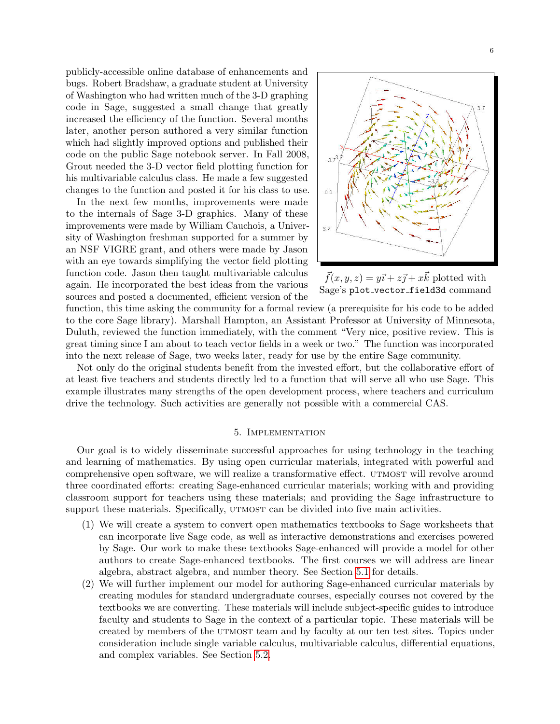publicly-accessible online database of enhancements and bugs. Robert Bradshaw, a graduate student at University of Washington who had written much of the 3-D graphing code in Sage, suggested a small change that greatly increased the efficiency of the function. Several months later, another person authored a very similar function which had slightly improved options and published their code on the public Sage notebook server. In Fall 2008, Grout needed the 3-D vector field plotting function for his multivariable calculus class. He made a few suggested changes to the function and posted it for his class to use.

In the next few months, improvements were made to the internals of Sage 3-D graphics. Many of these improvements were made by William Cauchois, a University of Washington freshman supported for a summer by an NSF VIGRE grant, and others were made by Jason with an eye towards simplifying the vector field plotting function code. Jason then taught multivariable calculus again. He incorporated the best ideas from the various sources and posted a documented, efficient version of the



 $\vec{f}(x, y, z) = y\vec{i} + z\vec{j} + x\vec{k}$  plotted with Sage's plot vector field3d command

function, this time asking the community for a formal review (a prerequisite for his code to be added to the core Sage library). Marshall Hampton, an Assistant Professor at University of Minnesota, Duluth, reviewed the function immediately, with the comment "Very nice, positive review. This is great timing since I am about to teach vector fields in a week or two." The function was incorporated into the next release of Sage, two weeks later, ready for use by the entire Sage community.

Not only do the original students benefit from the invested effort, but the collaborative effort of at least five teachers and students directly led to a function that will serve all who use Sage. This example illustrates many strengths of the open development process, where teachers and curriculum drive the technology. Such activities are generally not possible with a commercial CAS.

### 5. Implementation

Our goal is to widely disseminate successful approaches for using technology in the teaching and learning of mathematics. By using open curricular materials, integrated with powerful and comprehensive open software, we will realize a transformative effect. UTMOST will revolve around three coordinated efforts: creating Sage-enhanced curricular materials; working with and providing classroom support for teachers using these materials; and providing the Sage infrastructure to support these materials. Specifically, UTMOST can be divided into five main activities.

- (1) We will create a system to convert open mathematics textbooks to Sage worksheets that can incorporate live Sage code, as well as interactive demonstrations and exercises powered by Sage. Our work to make these textbooks Sage-enhanced will provide a model for other authors to create Sage-enhanced textbooks. The first courses we will address are linear algebra, abstract algebra, and number theory. See Section [5.1](#page-6-0) for details.
- (2) We will further implement our model for authoring Sage-enhanced curricular materials by creating modules for standard undergraduate courses, especially courses not covered by the textbooks we are converting. These materials will include subject-specific guides to introduce faculty and students to Sage in the context of a particular topic. These materials will be created by members of the UTMOST team and by faculty at our ten test sites. Topics under consideration include single variable calculus, multivariable calculus, differential equations, and complex variables. See Section [5.2.](#page-7-1)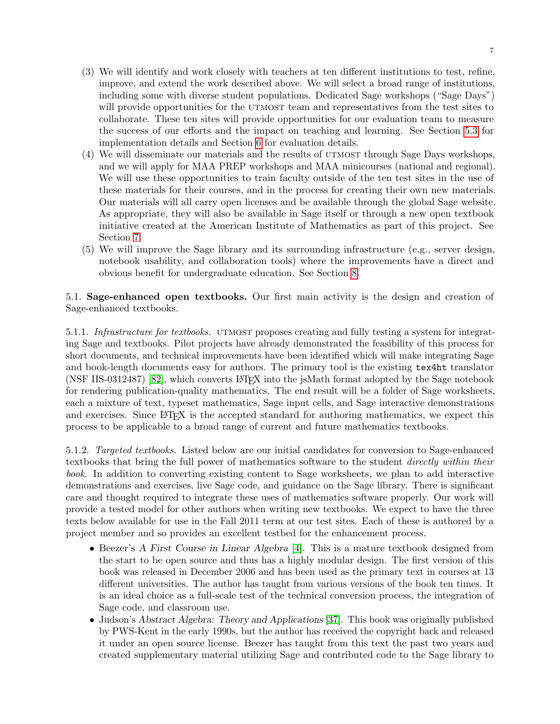- (3) We will identify and work closely with teachers at ten different institutions to test, refine, improve, and extend the work described above. We will select a broad range of institutions, including some with diverse student populations. Dedicated Sage workshops ("Sage Days") will provide opportunities for the UTMOST team and representatives from the test sites to collaborate. These ten sites will provide opportunities for our evaluation team to measure the success of our efforts and the impact on teaching and learning. See Section [5.3](#page-7-2) for implementation details and Section [6](#page-9-0) for evaluation details.
- (4) We will disseminate our materials and the results of UTMOST through Sage Days workshops, and we will apply for MAA PREP workshops and MAA minicourses (national and regional). We will use these opportunities to train faculty outside of the ten test sites in the use of these materials for their courses, and in the process for creating their own new materials. Our materials will all carry open licenses and be available through the global Sage website. As appropriate, they will also be available in Sage itself or through a new open textbook initiative created at the American Institute of Mathematics as part of this project. See Section [7.](#page-10-0)
- (5) We will improve the Sage library and its surrounding infrastructure (e.g., server design, notebook usability, and collaboration tools) where the improvements have a direct and obvious benefit for undergraduate education. See Section [8.](#page-12-0)

<span id="page-6-0"></span>5.1. Sage-enhanced open textbooks. Our first main activity is the design and creation of Sage-enhanced textbooks.

5.1.1. Infrastructure for textbooks. UTMOST proposes creating and fully testing a system for integrating Sage and textbooks. Pilot projects have already demonstrated the feasibility of this process for short documents, and technical improvements have been identified which will make integrating Sage and book-length documents easy for authors. The primary tool is the existing tex4ht translator (NSF IIS-0312487) [\[82\]](#page-18-7), which converts LAT<sub>EX</sub> into the jsMath format adopted by the Sage notebook for rendering publication-quality mathematics. The end result will be a folder of Sage worksheets, each a mixture of text, typeset mathematics, Sage input cells, and Sage interactive demonstrations and exercises. Since LAT<sub>EX</sub> is the accepted standard for authoring mathematics, we expect this process to be applicable to a broad range of current and future mathematics textbooks.

5.1.2. Targeted textbooks. Listed below are our initial candidates for conversion to Sage-enhanced textbooks that bring the full power of mathematics software to the student *directly within their* book. In addition to converting existing content to Sage worksheets, we plan to add interactive demonstrations and exercises, live Sage code, and guidance on the Sage library. There is significant care and thought required to integrate these uses of mathematics software properly. Our work will provide a tested model for other authors when writing new textbooks. We expect to have the three texts below available for use in the Fall 2011 term at our test sites. Each of these is authored by a project member and so provides an excellent testbed for the enhancement process.

- Beezer's A First Course in Linear Algebra [\[4\]](#page-15-14). This is a mature textbook designed from the start to be open source and thus has a highly modular design. The first version of this book was released in December 2006 and has been used as the primary text in courses at 13 different universities. The author has taught from various versions of the book ten times. It is an ideal choice as a full-scale test of the technical conversion process, the integration of Sage code, and classroom use.
- Judson's Abstract Algebra: Theory and Applications [\[37\]](#page-16-7). This book was originally published by PWS-Kent in the early 1990s, but the author has received the copyright back and released it under an open source license. Beezer has taught from this text the past two years and created supplementary material utilizing Sage and contributed code to the Sage library to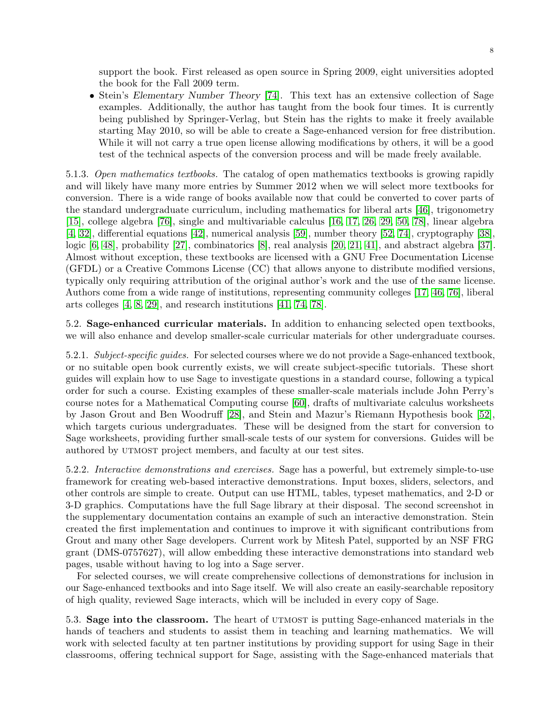support the book. First released as open source in Spring 2009, eight universities adopted the book for the Fall 2009 term.

• Stein's Elementary Number Theory [\[74\]](#page-17-19). This text has an extensive collection of Sage examples. Additionally, the author has taught from the book four times. It is currently being published by Springer-Verlag, but Stein has the rights to make it freely available starting May 2010, so will be able to create a Sage-enhanced version for free distribution. While it will not carry a true open license allowing modifications by others, it will be a good test of the technical aspects of the conversion process and will be made freely available.

<span id="page-7-0"></span>5.1.3. Open mathematics textbooks. The catalog of open mathematics textbooks is growing rapidly and will likely have many more entries by Summer 2012 when we will select more textbooks for conversion. There is a wide range of books available now that could be converted to cover parts of the standard undergraduate curriculum, including mathematics for liberal arts [\[46\]](#page-16-8), trigonometry [\[15\]](#page-15-15), college algebra [\[76\]](#page-17-20), single and multivariable calculus [\[16,](#page-15-16) [17,](#page-15-17) [26,](#page-16-9) [29,](#page-16-10) [50,](#page-16-11) [78\]](#page-17-21), linear algebra [\[4,](#page-15-14) [32\]](#page-16-12), differential equations [\[42\]](#page-16-13), numerical analysis [\[59\]](#page-17-22), number theory [\[52,](#page-17-23) [74\]](#page-17-19), cryptography [\[38\]](#page-16-14), logic [\[6,](#page-15-18) [48\]](#page-16-15), probability [\[27\]](#page-16-16), combinatorics [\[8\]](#page-15-19), real analysis [\[20,](#page-15-20) [21,](#page-15-21) [41\]](#page-16-17), and abstract algebra [\[37\]](#page-16-7). Almost without exception, these textbooks are licensed with a GNU Free Documentation License (GFDL) or a Creative Commons License (CC) that allows anyone to distribute modified versions, typically only requiring attribution of the original author's work and the use of the same license. Authors come from a wide range of institutions, representing community colleges [\[17,](#page-15-17) [46,](#page-16-8) [76\]](#page-17-20), liberal arts colleges [\[4,](#page-15-14) [8,](#page-15-19) [29\]](#page-16-10), and research institutions [\[41,](#page-16-17) [74,](#page-17-19) [78\]](#page-17-21).

<span id="page-7-1"></span>5.2. Sage-enhanced curricular materials. In addition to enhancing selected open textbooks, we will also enhance and develop smaller-scale curricular materials for other undergraduate courses.

5.2.1. Subject-specific guides. For selected courses where we do not provide a Sage-enhanced textbook, or no suitable open book currently exists, we will create subject-specific tutorials. These short guides will explain how to use Sage to investigate questions in a standard course, following a typical order for such a course. Existing examples of these smaller-scale materials include John Perry's course notes for a Mathematical Computing course [\[60\]](#page-17-24), drafts of multivariate calculus worksheets by Jason Grout and Ben Woodruff [\[28\]](#page-16-18), and Stein and Mazur's Riemann Hypothesis book [\[52\]](#page-17-23), which targets curious undergraduates. These will be designed from the start for conversion to Sage worksheets, providing further small-scale tests of our system for conversions. Guides will be authored by UTMOST project members, and faculty at our test sites.

5.2.2. Interactive demonstrations and exercises. Sage has a powerful, but extremely simple-to-use framework for creating web-based interactive demonstrations. Input boxes, sliders, selectors, and other controls are simple to create. Output can use HTML, tables, typeset mathematics, and 2-D or 3-D graphics. Computations have the full Sage library at their disposal. The second screenshot in the supplementary documentation contains an example of such an interactive demonstration. Stein created the first implementation and continues to improve it with significant contributions from Grout and many other Sage developers. Current work by Mitesh Patel, supported by an NSF FRG grant (DMS-0757627), will allow embedding these interactive demonstrations into standard web pages, usable without having to log into a Sage server.

For selected courses, we will create comprehensive collections of demonstrations for inclusion in our Sage-enhanced textbooks and into Sage itself. We will also create an easily-searchable repository of high quality, reviewed Sage interacts, which will be included in every copy of Sage.

<span id="page-7-2"></span>5.3. Sage into the classroom. The heart of UTMOST is putting Sage-enhanced materials in the hands of teachers and students to assist them in teaching and learning mathematics. We will work with selected faculty at ten partner institutions by providing support for using Sage in their classrooms, offering technical support for Sage, assisting with the Sage-enhanced materials that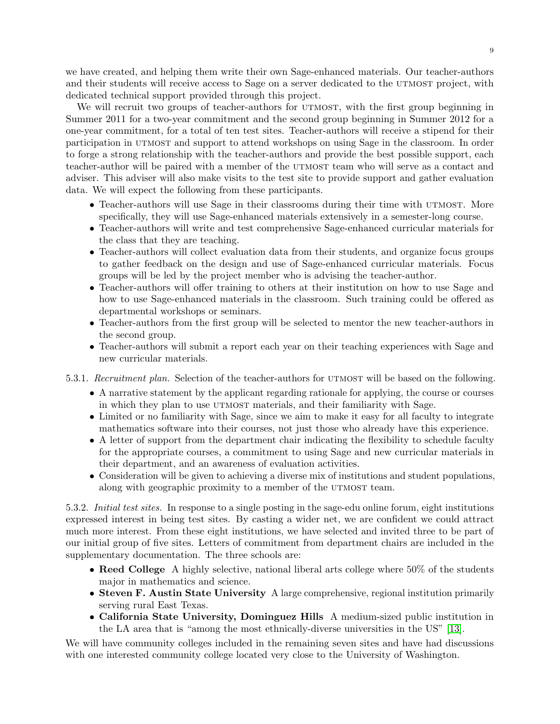we have created, and helping them write their own Sage-enhanced materials. Our teacher-authors and their students will receive access to Sage on a server dedicated to the UTMOST project, with dedicated technical support provided through this project.

We will recruit two groups of teacher-authors for UTMOST, with the first group beginning in Summer 2011 for a two-year commitment and the second group beginning in Summer 2012 for a one-year commitment, for a total of ten test sites. Teacher-authors will receive a stipend for their participation in utmost and support to attend workshops on using Sage in the classroom. In order to forge a strong relationship with the teacher-authors and provide the best possible support, each teacher-author will be paired with a member of the UTMOST team who will serve as a contact and adviser. This adviser will also make visits to the test site to provide support and gather evaluation data. We will expect the following from these participants.

- Teacher-authors will use Sage in their classrooms during their time with UTMOST. More specifically, they will use Sage-enhanced materials extensively in a semester-long course.
- Teacher-authors will write and test comprehensive Sage-enhanced curricular materials for the class that they are teaching.
- Teacher-authors will collect evaluation data from their students, and organize focus groups to gather feedback on the design and use of Sage-enhanced curricular materials. Focus groups will be led by the project member who is advising the teacher-author.
- Teacher-authors will offer training to others at their institution on how to use Sage and how to use Sage-enhanced materials in the classroom. Such training could be offered as departmental workshops or seminars.
- Teacher-authors from the first group will be selected to mentor the new teacher-authors in the second group.
- Teacher-authors will submit a report each year on their teaching experiences with Sage and new curricular materials.
- 5.3.1. Recruitment plan. Selection of the teacher-authors for UTMOST will be based on the following.
	- A narrative statement by the applicant regarding rationale for applying, the course or courses in which they plan to use UTMOST materials, and their familiarity with Sage.
	- Limited or no familiarity with Sage, since we aim to make it easy for all faculty to integrate mathematics software into their courses, not just those who already have this experience.
	- A letter of support from the department chair indicating the flexibility to schedule faculty for the appropriate courses, a commitment to using Sage and new curricular materials in their department, and an awareness of evaluation activities.
	- Consideration will be given to achieving a diverse mix of institutions and student populations, along with geographic proximity to a member of the UTMOST team.

5.3.2. Initial test sites. In response to a single posting in the sage-edu online forum, eight institutions expressed interest in being test sites. By casting a wider net, we are confident we could attract much more interest. From these eight institutions, we have selected and invited three to be part of our initial group of five sites. Letters of commitment from department chairs are included in the supplementary documentation. The three schools are:

- Reed College A highly selective, national liberal arts college where 50% of the students major in mathematics and science.
- Steven F. Austin State University A large comprehensive, regional institution primarily serving rural East Texas.
- California State University, Dominguez Hills A medium-sized public institution in the LA area that is "among the most ethnically-diverse universities in the US" [\[13\]](#page-15-22).

We will have community colleges included in the remaining seven sites and have had discussions with one interested community college located very close to the University of Washington.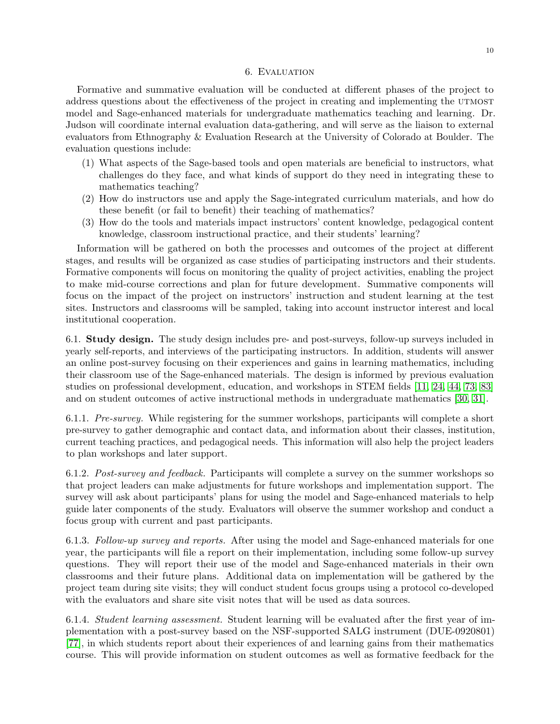#### 6. Evaluation

<span id="page-9-0"></span>Formative and summative evaluation will be conducted at different phases of the project to address questions about the effectiveness of the project in creating and implementing the UTMOST model and Sage-enhanced materials for undergraduate mathematics teaching and learning. Dr. Judson will coordinate internal evaluation data-gathering, and will serve as the liaison to external evaluators from Ethnography & Evaluation Research at the University of Colorado at Boulder. The evaluation questions include:

- (1) What aspects of the Sage-based tools and open materials are beneficial to instructors, what challenges do they face, and what kinds of support do they need in integrating these to mathematics teaching?
- (2) How do instructors use and apply the Sage-integrated curriculum materials, and how do these benefit (or fail to benefit) their teaching of mathematics?
- (3) How do the tools and materials impact instructors' content knowledge, pedagogical content knowledge, classroom instructional practice, and their students' learning?

Information will be gathered on both the processes and outcomes of the project at different stages, and results will be organized as case studies of participating instructors and their students. Formative components will focus on monitoring the quality of project activities, enabling the project to make mid-course corrections and plan for future development. Summative components will focus on the impact of the project on instructors' instruction and student learning at the test sites. Instructors and classrooms will be sampled, taking into account instructor interest and local institutional cooperation.

6.1. Study design. The study design includes pre- and post-surveys, follow-up surveys included in yearly self-reports, and interviews of the participating instructors. In addition, students will answer an online post-survey focusing on their experiences and gains in learning mathematics, including their classroom use of the Sage-enhanced materials. The design is informed by previous evaluation studies on professional development, education, and workshops in STEM fields [\[11,](#page-15-23) [24,](#page-15-24) [44,](#page-16-19) [73,](#page-17-25) [83\]](#page-18-8) and on student outcomes of active instructional methods in undergraduate mathematics [\[30,](#page-16-20) [31\]](#page-16-21).

6.1.1. Pre-survey. While registering for the summer workshops, participants will complete a short pre-survey to gather demographic and contact data, and information about their classes, institution, current teaching practices, and pedagogical needs. This information will also help the project leaders to plan workshops and later support.

6.1.2. Post-survey and feedback. Participants will complete a survey on the summer workshops so that project leaders can make adjustments for future workshops and implementation support. The survey will ask about participants' plans for using the model and Sage-enhanced materials to help guide later components of the study. Evaluators will observe the summer workshop and conduct a focus group with current and past participants.

6.1.3. Follow-up survey and reports. After using the model and Sage-enhanced materials for one year, the participants will file a report on their implementation, including some follow-up survey questions. They will report their use of the model and Sage-enhanced materials in their own classrooms and their future plans. Additional data on implementation will be gathered by the project team during site visits; they will conduct student focus groups using a protocol co-developed with the evaluators and share site visit notes that will be used as data sources.

6.1.4. Student learning assessment. Student learning will be evaluated after the first year of implementation with a post-survey based on the NSF-supported SALG instrument (DUE-0920801) [\[77\]](#page-17-26), in which students report about their experiences of and learning gains from their mathematics course. This will provide information on student outcomes as well as formative feedback for the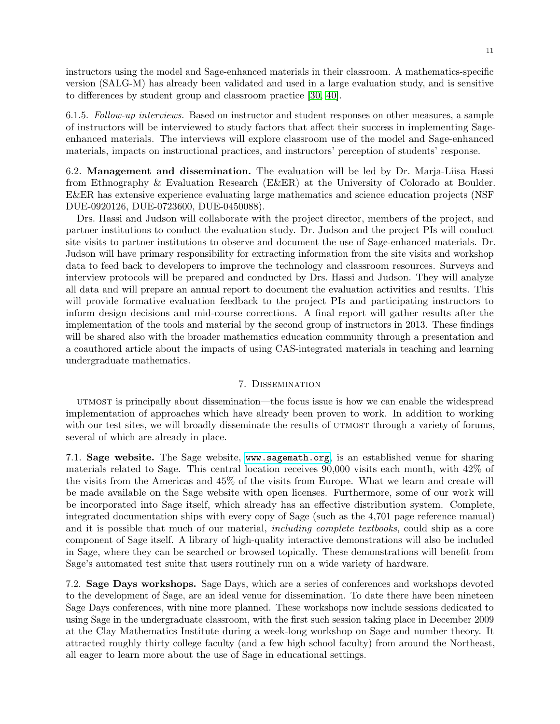instructors using the model and Sage-enhanced materials in their classroom. A mathematics-specific version (SALG-M) has already been validated and used in a large evaluation study, and is sensitive to differences by student group and classroom practice [\[30,](#page-16-20) [40\]](#page-16-22).

6.1.5. Follow-up interviews. Based on instructor and student responses on other measures, a sample of instructors will be interviewed to study factors that affect their success in implementing Sageenhanced materials. The interviews will explore classroom use of the model and Sage-enhanced materials, impacts on instructional practices, and instructors' perception of students' response.

6.2. Management and dissemination. The evaluation will be led by Dr. Marja-Liisa Hassi from Ethnography & Evaluation Research (E&ER) at the University of Colorado at Boulder. E&ER has extensive experience evaluating large mathematics and science education projects (NSF DUE-0920126, DUE-0723600, DUE-0450088).

Drs. Hassi and Judson will collaborate with the project director, members of the project, and partner institutions to conduct the evaluation study. Dr. Judson and the project PIs will conduct site visits to partner institutions to observe and document the use of Sage-enhanced materials. Dr. Judson will have primary responsibility for extracting information from the site visits and workshop data to feed back to developers to improve the technology and classroom resources. Surveys and interview protocols will be prepared and conducted by Drs. Hassi and Judson. They will analyze all data and will prepare an annual report to document the evaluation activities and results. This will provide formative evaluation feedback to the project PIs and participating instructors to inform design decisions and mid-course corrections. A final report will gather results after the implementation of the tools and material by the second group of instructors in 2013. These findings will be shared also with the broader mathematics education community through a presentation and a coauthored article about the impacts of using CAS-integrated materials in teaching and learning undergraduate mathematics.

#### 7. Dissemination

<span id="page-10-0"></span>utmost is principally about dissemination—the focus issue is how we can enable the widespread implementation of approaches which have already been proven to work. In addition to working with our test sites, we will broadly disseminate the results of  $UTMOST$  through a variety of forums, several of which are already in place.

7.1. Sage website. The Sage website, <www.sagemath.org>, is an established venue for sharing materials related to Sage. This central location receives 90,000 visits each month, with 42% of the visits from the Americas and 45% of the visits from Europe. What we learn and create will be made available on the Sage website with open licenses. Furthermore, some of our work will be incorporated into Sage itself, which already has an effective distribution system. Complete, integrated documentation ships with every copy of Sage (such as the 4,701 page reference manual) and it is possible that much of our material, *including complete textbooks*, could ship as a core component of Sage itself. A library of high-quality interactive demonstrations will also be included in Sage, where they can be searched or browsed topically. These demonstrations will benefit from Sage's automated test suite that users routinely run on a wide variety of hardware.

7.2. Sage Days workshops. Sage Days, which are a series of conferences and workshops devoted to the development of Sage, are an ideal venue for dissemination. To date there have been nineteen Sage Days conferences, with nine more planned. These workshops now include sessions dedicated to using Sage in the undergraduate classroom, with the first such session taking place in December 2009 at the Clay Mathematics Institute during a week-long workshop on Sage and number theory. It attracted roughly thirty college faculty (and a few high school faculty) from around the Northeast, all eager to learn more about the use of Sage in educational settings.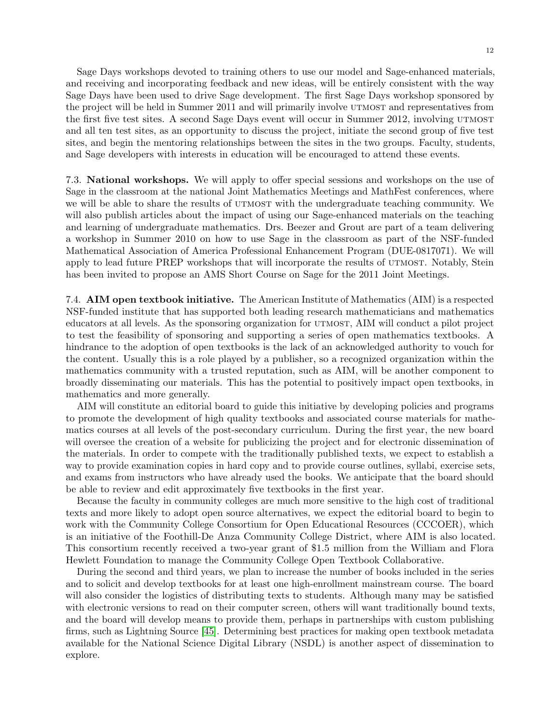Sage Days workshops devoted to training others to use our model and Sage-enhanced materials, and receiving and incorporating feedback and new ideas, will be entirely consistent with the way Sage Days have been used to drive Sage development. The first Sage Days workshop sponsored by the project will be held in Summer 2011 and will primarily involve utmost and representatives from the first five test sites. A second Sage Days event will occur in Summer 2012, involving UTMOST and all ten test sites, as an opportunity to discuss the project, initiate the second group of five test sites, and begin the mentoring relationships between the sites in the two groups. Faculty, students, and Sage developers with interests in education will be encouraged to attend these events.

7.3. National workshops. We will apply to offer special sessions and workshops on the use of Sage in the classroom at the national Joint Mathematics Meetings and MathFest conferences, where we will be able to share the results of UTMOST with the undergraduate teaching community. We will also publish articles about the impact of using our Sage-enhanced materials on the teaching and learning of undergraduate mathematics. Drs. Beezer and Grout are part of a team delivering a workshop in Summer 2010 on how to use Sage in the classroom as part of the NSF-funded Mathematical Association of America Professional Enhancement Program (DUE-0817071). We will apply to lead future PREP workshops that will incorporate the results of UTMOST. Notably, Stein has been invited to propose an AMS Short Course on Sage for the 2011 Joint Meetings.

7.4. AIM open textbook initiative. The American Institute of Mathematics (AIM) is a respected NSF-funded institute that has supported both leading research mathematicians and mathematics educators at all levels. As the sponsoring organization for UTMOST, AIM will conduct a pilot project to test the feasibility of sponsoring and supporting a series of open mathematics textbooks. A hindrance to the adoption of open textbooks is the lack of an acknowledged authority to vouch for the content. Usually this is a role played by a publisher, so a recognized organization within the mathematics community with a trusted reputation, such as AIM, will be another component to broadly disseminating our materials. This has the potential to positively impact open textbooks, in mathematics and more generally.

AIM will constitute an editorial board to guide this initiative by developing policies and programs to promote the development of high quality textbooks and associated course materials for mathematics courses at all levels of the post-secondary curriculum. During the first year, the new board will oversee the creation of a website for publicizing the project and for electronic dissemination of the materials. In order to compete with the traditionally published texts, we expect to establish a way to provide examination copies in hard copy and to provide course outlines, syllabi, exercise sets, and exams from instructors who have already used the books. We anticipate that the board should be able to review and edit approximately five textbooks in the first year.

Because the faculty in community colleges are much more sensitive to the high cost of traditional texts and more likely to adopt open source alternatives, we expect the editorial board to begin to work with the Community College Consortium for Open Educational Resources (CCCOER), which is an initiative of the Foothill-De Anza Community College District, where AIM is also located. This consortium recently received a two-year grant of \$1.5 million from the William and Flora Hewlett Foundation to manage the Community College Open Textbook Collaborative.

During the second and third years, we plan to increase the number of books included in the series and to solicit and develop textbooks for at least one high-enrollment mainstream course. The board will also consider the logistics of distributing texts to students. Although many may be satisfied with electronic versions to read on their computer screen, others will want traditionally bound texts, and the board will develop means to provide them, perhaps in partnerships with custom publishing firms, such as Lightning Source [\[45\]](#page-16-23). Determining best practices for making open textbook metadata available for the National Science Digital Library (NSDL) is another aspect of dissemination to explore.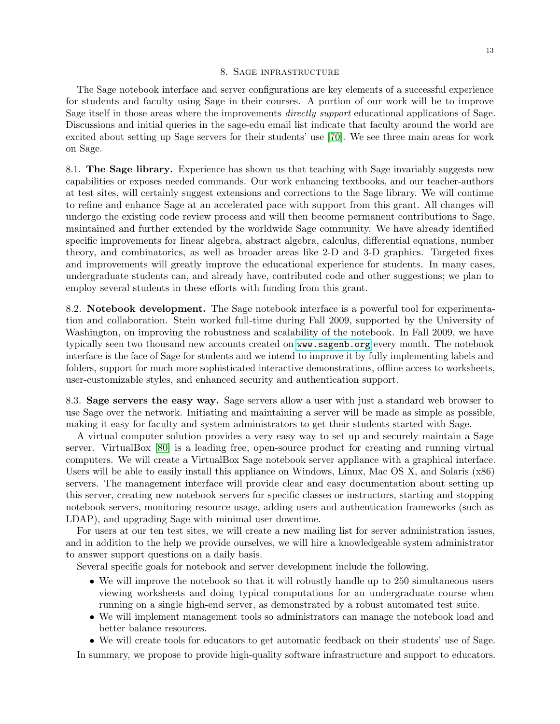#### 8. Sage infrastructure

<span id="page-12-0"></span>The Sage notebook interface and server configurations are key elements of a successful experience for students and faculty using Sage in their courses. A portion of our work will be to improve Sage itself in those areas where the improvements *directly support* educational applications of Sage. Discussions and initial queries in the sage-edu email list indicate that faculty around the world are excited about setting up Sage servers for their students' use [\[70\]](#page-17-15). We see three main areas for work on Sage.

8.1. The Sage library. Experience has shown us that teaching with Sage invariably suggests new capabilities or exposes needed commands. Our work enhancing textbooks, and our teacher-authors at test sites, will certainly suggest extensions and corrections to the Sage library. We will continue to refine and enhance Sage at an accelerated pace with support from this grant. All changes will undergo the existing code review process and will then become permanent contributions to Sage, maintained and further extended by the worldwide Sage community. We have already identified specific improvements for linear algebra, abstract algebra, calculus, differential equations, number theory, and combinatorics, as well as broader areas like 2-D and 3-D graphics. Targeted fixes and improvements will greatly improve the educational experience for students. In many cases, undergraduate students can, and already have, contributed code and other suggestions; we plan to employ several students in these efforts with funding from this grant.

8.2. Notebook development. The Sage notebook interface is a powerful tool for experimentation and collaboration. Stein worked full-time during Fall 2009, supported by the University of Washington, on improving the robustness and scalability of the notebook. In Fall 2009, we have typically seen two thousand new accounts created on <www.sagenb.org> every month. The notebook interface is the face of Sage for students and we intend to improve it by fully implementing labels and folders, support for much more sophisticated interactive demonstrations, offline access to worksheets, user-customizable styles, and enhanced security and authentication support.

8.3. Sage servers the easy way. Sage servers allow a user with just a standard web browser to use Sage over the network. Initiating and maintaining a server will be made as simple as possible, making it easy for faculty and system administrators to get their students started with Sage.

A virtual computer solution provides a very easy way to set up and securely maintain a Sage server. VirtualBox [\[80\]](#page-18-9) is a leading free, open-source product for creating and running virtual computers. We will create a VirtualBox Sage notebook server appliance with a graphical interface. Users will be able to easily install this appliance on Windows, Linux, Mac OS X, and Solaris (x86) servers. The management interface will provide clear and easy documentation about setting up this server, creating new notebook servers for specific classes or instructors, starting and stopping notebook servers, monitoring resource usage, adding users and authentication frameworks (such as LDAP), and upgrading Sage with minimal user downtime.

For users at our ten test sites, we will create a new mailing list for server administration issues, and in addition to the help we provide ourselves, we will hire a knowledgeable system administrator to answer support questions on a daily basis.

Several specific goals for notebook and server development include the following.

- We will improve the notebook so that it will robustly handle up to 250 simultaneous users viewing worksheets and doing typical computations for an undergraduate course when running on a single high-end server, as demonstrated by a robust automated test suite.
- We will implement management tools so administrators can manage the notebook load and better balance resources.
- We will create tools for educators to get automatic feedback on their students' use of Sage.

In summary, we propose to provide high-quality software infrastructure and support to educators.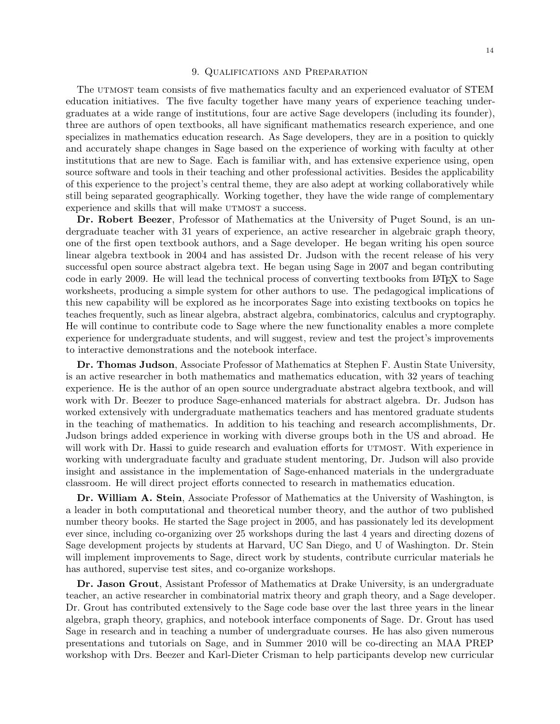#### 9. Qualifications and Preparation

The UTMOST team consists of five mathematics faculty and an experienced evaluator of STEM education initiatives. The five faculty together have many years of experience teaching undergraduates at a wide range of institutions, four are active Sage developers (including its founder), three are authors of open textbooks, all have significant mathematics research experience, and one specializes in mathematics education research. As Sage developers, they are in a position to quickly and accurately shape changes in Sage based on the experience of working with faculty at other institutions that are new to Sage. Each is familiar with, and has extensive experience using, open source software and tools in their teaching and other professional activities. Besides the applicability of this experience to the project's central theme, they are also adept at working collaboratively while still being separated geographically. Working together, they have the wide range of complementary experience and skills that will make  $UTMOST$  a success.

Dr. Robert Beezer, Professor of Mathematics at the University of Puget Sound, is an undergraduate teacher with 31 years of experience, an active researcher in algebraic graph theory, one of the first open textbook authors, and a Sage developer. He began writing his open source linear algebra textbook in 2004 and has assisted Dr. Judson with the recent release of his very successful open source abstract algebra text. He began using Sage in 2007 and began contributing code in early 2009. He will lead the technical process of converting textbooks from LAT<sub>EX</sub> to Sage worksheets, producing a simple system for other authors to use. The pedagogical implications of this new capability will be explored as he incorporates Sage into existing textbooks on topics he teaches frequently, such as linear algebra, abstract algebra, combinatorics, calculus and cryptography. He will continue to contribute code to Sage where the new functionality enables a more complete experience for undergraduate students, and will suggest, review and test the project's improvements to interactive demonstrations and the notebook interface.

Dr. Thomas Judson, Associate Professor of Mathematics at Stephen F. Austin State University, is an active researcher in both mathematics and mathematics education, with 32 years of teaching experience. He is the author of an open source undergraduate abstract algebra textbook, and will work with Dr. Beezer to produce Sage-enhanced materials for abstract algebra. Dr. Judson has worked extensively with undergraduate mathematics teachers and has mentored graduate students in the teaching of mathematics. In addition to his teaching and research accomplishments, Dr. Judson brings added experience in working with diverse groups both in the US and abroad. He will work with Dr. Hassi to guide research and evaluation efforts for UTMOST. With experience in working with undergraduate faculty and graduate student mentoring, Dr. Judson will also provide insight and assistance in the implementation of Sage-enhanced materials in the undergraduate classroom. He will direct project efforts connected to research in mathematics education.

Dr. William A. Stein, Associate Professor of Mathematics at the University of Washington, is a leader in both computational and theoretical number theory, and the author of two published number theory books. He started the Sage project in 2005, and has passionately led its development ever since, including co-organizing over 25 workshops during the last 4 years and directing dozens of Sage development projects by students at Harvard, UC San Diego, and U of Washington. Dr. Stein will implement improvements to Sage, direct work by students, contribute curricular materials he has authored, supervise test sites, and co-organize workshops.

Dr. Jason Grout, Assistant Professor of Mathematics at Drake University, is an undergraduate teacher, an active researcher in combinatorial matrix theory and graph theory, and a Sage developer. Dr. Grout has contributed extensively to the Sage code base over the last three years in the linear algebra, graph theory, graphics, and notebook interface components of Sage. Dr. Grout has used Sage in research and in teaching a number of undergraduate courses. He has also given numerous presentations and tutorials on Sage, and in Summer 2010 will be co-directing an MAA PREP workshop with Drs. Beezer and Karl-Dieter Crisman to help participants develop new curricular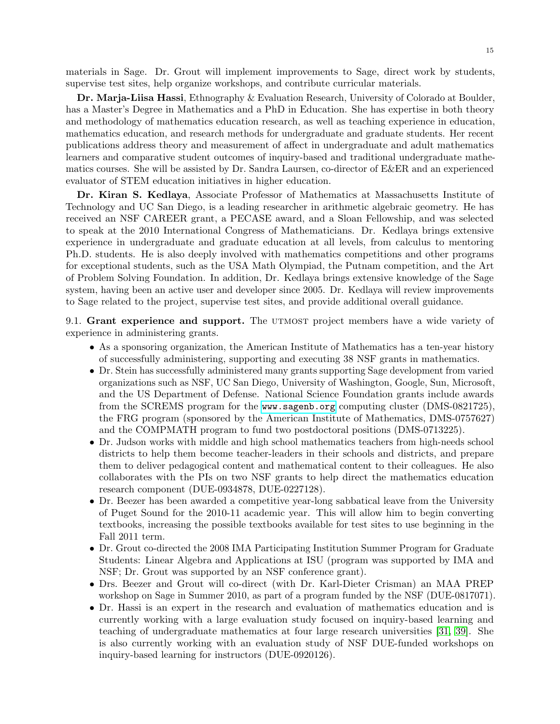materials in Sage. Dr. Grout will implement improvements to Sage, direct work by students, supervise test sites, help organize workshops, and contribute curricular materials.

Dr. Marja-Liisa Hassi, Ethnography & Evaluation Research, University of Colorado at Boulder, has a Master's Degree in Mathematics and a PhD in Education. She has expertise in both theory and methodology of mathematics education research, as well as teaching experience in education, mathematics education, and research methods for undergraduate and graduate students. Her recent publications address theory and measurement of affect in undergraduate and adult mathematics learners and comparative student outcomes of inquiry-based and traditional undergraduate mathematics courses. She will be assisted by Dr. Sandra Laursen, co-director of E&ER and an experienced evaluator of STEM education initiatives in higher education.

Dr. Kiran S. Kedlaya, Associate Professor of Mathematics at Massachusetts Institute of Technology and UC San Diego, is a leading researcher in arithmetic algebraic geometry. He has received an NSF CAREER grant, a PECASE award, and a Sloan Fellowship, and was selected to speak at the 2010 International Congress of Mathematicians. Dr. Kedlaya brings extensive experience in undergraduate and graduate education at all levels, from calculus to mentoring Ph.D. students. He is also deeply involved with mathematics competitions and other programs for exceptional students, such as the USA Math Olympiad, the Putnam competition, and the Art of Problem Solving Foundation. In addition, Dr. Kedlaya brings extensive knowledge of the Sage system, having been an active user and developer since 2005. Dr. Kedlaya will review improvements to Sage related to the project, supervise test sites, and provide additional overall guidance.

9.1. Grant experience and support. The UTMOST project members have a wide variety of experience in administering grants.

- As a sponsoring organization, the American Institute of Mathematics has a ten-year history of successfully administering, supporting and executing 38 NSF grants in mathematics.
- Dr. Stein has successfully administered many grants supporting Sage development from varied organizations such as NSF, UC San Diego, University of Washington, Google, Sun, Microsoft, and the US Department of Defense. National Science Foundation grants include awards from the SCREMS program for the <www.sagenb.org> computing cluster (DMS-0821725), the FRG program (sponsored by the American Institute of Mathematics, DMS-0757627) and the COMPMATH program to fund two postdoctoral positions (DMS-0713225).
- Dr. Judson works with middle and high school mathematics teachers from high-needs school districts to help them become teacher-leaders in their schools and districts, and prepare them to deliver pedagogical content and mathematical content to their colleagues. He also collaborates with the PIs on two NSF grants to help direct the mathematics education research component (DUE-0934878, DUE-0227128).
- Dr. Beezer has been awarded a competitive year-long sabbatical leave from the University of Puget Sound for the 2010-11 academic year. This will allow him to begin converting textbooks, increasing the possible textbooks available for test sites to use beginning in the Fall 2011 term.
- Dr. Grout co-directed the 2008 IMA Participating Institution Summer Program for Graduate Students: Linear Algebra and Applications at ISU (program was supported by IMA and NSF; Dr. Grout was supported by an NSF conference grant).
- Drs. Beezer and Grout will co-direct (with Dr. Karl-Dieter Crisman) an MAA PREP workshop on Sage in Summer 2010, as part of a program funded by the NSF (DUE-0817071).
- Dr. Hassi is an expert in the research and evaluation of mathematics education and is currently working with a large evaluation study focused on inquiry-based learning and teaching of undergraduate mathematics at four large research universities [\[31,](#page-16-21) [39\]](#page-16-24). She is also currently working with an evaluation study of NSF DUE-funded workshops on inquiry-based learning for instructors (DUE-0920126).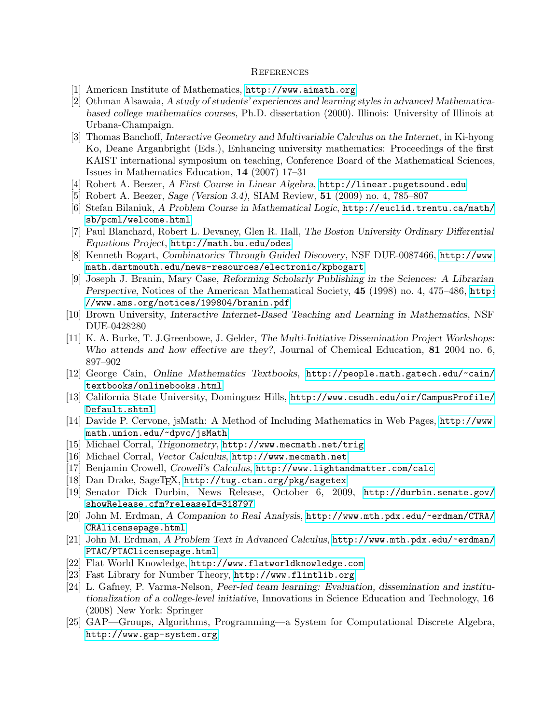#### **REFERENCES**

- <span id="page-15-6"></span>[1] American Institute of Mathematics, <http://www.aimath.org>
- <span id="page-15-1"></span>[2] Othman Alsawaia, A study of students' experiences and learning styles in advanced Mathematicabased college mathematics courses, Ph.D. dissertation (2000). Illinois: University of Illinois at Urbana-Champaign.
- <span id="page-15-2"></span>[3] Thomas Banchoff, Interactive Geometry and Multivariable Calculus on the Internet, in Ki-hyong Ko, Deane Arganbright (Eds.), Enhancing university mathematics: Proceedings of the first KAIST international symposium on teaching, Conference Board of the Mathematical Sciences, Issues in Mathematics Education, 14 (2007) 17–31
- <span id="page-15-14"></span>[4] Robert A. Beezer, A First Course in Linear Algebra, <http://linear.pugetsound.edu>
- <span id="page-15-4"></span>[5] Robert A. Beezer, Sage (Version 3.4), SIAM Review, 51 (2009) no. 4, 785–807
- <span id="page-15-18"></span>[6] Stefan Bilaniuk, A Problem Course in Mathematical Logic, [http://euclid.trentu.ca/math/](http://euclid.trentu.ca/math/sb/pcml/welcome.html) [sb/pcml/welcome.html](http://euclid.trentu.ca/math/sb/pcml/welcome.html)
- <span id="page-15-0"></span>[7] Paul Blanchard, Robert L. Devaney, Glen R. Hall, The Boston University Ordinary Differential Equations Project, <http://math.bu.edu/odes>
- <span id="page-15-19"></span>[8] Kenneth Bogart, Combinatorics Through Guided Discovery, NSF DUE-0087466, [http://www.](http://www.math.dartmouth.edu/news-resources/electronic/kpbogart) [math.dartmouth.edu/news-resources/electronic/kpbogart](http://www.math.dartmouth.edu/news-resources/electronic/kpbogart)
- <span id="page-15-7"></span>[9] Joseph J. Branin, Mary Case, Reforming Scholarly Publishing in the Sciences: A Librarian Perspective, Notices of the American Mathematical Society, 45 (1998) no. 4, 475–486, [http:](http://www.ams.org/notices/199804/branin.pdf) [//www.ams.org/notices/199804/branin.pdf](http://www.ams.org/notices/199804/branin.pdf)
- <span id="page-15-3"></span>[10] Brown University, Interactive Internet-Based Teaching and Learning in Mathematics, NSF DUE-0428280
- <span id="page-15-23"></span>[11] K. A. Burke, T. J.Greenbowe, J. Gelder, The Multi-Initiative Dissemination Project Workshops: Who attends and how effective are they?, Journal of Chemical Education, 81 2004 no. 6, 897–902
- <span id="page-15-5"></span>[12] George Cain, Online Mathematics Textbooks, [http://people.math.gatech.edu/~cain/](http://people.math.gatech.edu/~cain/textbooks/onlinebooks.html) [textbooks/onlinebooks.html](http://people.math.gatech.edu/~cain/textbooks/onlinebooks.html)
- <span id="page-15-22"></span>[13] California State University, Dominguez Hills, [http://www.csudh.edu/oir/CampusProfile/](http://www.csudh.edu/oir/CampusProfile/Default.shtml) [Default.shtml](http://www.csudh.edu/oir/CampusProfile/Default.shtml)
- <span id="page-15-10"></span>[14] Davide P. Cervone, jsMath: A Method of Including Mathematics in Web Pages, [http://www.](http://www.math.union.edu/~dpvc/jsMath) [math.union.edu/~dpvc/jsMath](http://www.math.union.edu/~dpvc/jsMath)
- <span id="page-15-15"></span>[15] Michael Corral, Trigonometry, <http://www.mecmath.net/trig>
- <span id="page-15-16"></span>[16] Michael Corral, Vector Calculus, <http://www.mecmath.net>
- <span id="page-15-17"></span>[17] Benjamin Crowell, Crowell's Calculus, <http://www.lightandmatter.com/calc>
- <span id="page-15-11"></span>[18] Dan Drake, SageT<sub>E</sub>X, <http://tug.ctan.org/pkg/sagetex>
- <span id="page-15-9"></span>[19] Senator Dick Durbin, News Release, October 6, 2009, [http://durbin.senate.gov/](http://durbin.senate.gov/showRelease.cfm?releaseId=318797) [showRelease.cfm?releaseId=318797](http://durbin.senate.gov/showRelease.cfm?releaseId=318797)
- <span id="page-15-20"></span>[20] John M. Erdman, A Companion to Real Analysis, [http://www.mth.pdx.edu/~erdman/CTRA/](http://www.mth.pdx.edu/~erdman/CTRA/CRAlicensepage.html) [CRAlicensepage.html](http://www.mth.pdx.edu/~erdman/CTRA/CRAlicensepage.html)
- <span id="page-15-21"></span>[21] John M. Erdman, A Problem Text in Advanced Calculus, [http://www.mth.pdx.edu/~erdman/](http://www.mth.pdx.edu/~erdman/PTAC/PTAClicensepage.html) [PTAC/PTAClicensepage.html](http://www.mth.pdx.edu/~erdman/PTAC/PTAClicensepage.html)
- <span id="page-15-8"></span>[22] Flat World Knowledge, <http://www.flatworldknowledge.com>
- <span id="page-15-12"></span>[23] Fast Library for Number Theory, <http://www.flintlib.org>
- <span id="page-15-24"></span>[24] L. Gafney, P. Varma-Nelson, Peer-led team learning: Evaluation, dissemination and institutionalization of a college-level initiative, Innovations in Science Education and Technology, 16 (2008) New York: Springer
- <span id="page-15-13"></span>[25] GAP—Groups, Algorithms, Programming—a System for Computational Discrete Algebra, <http://www.gap-system.org>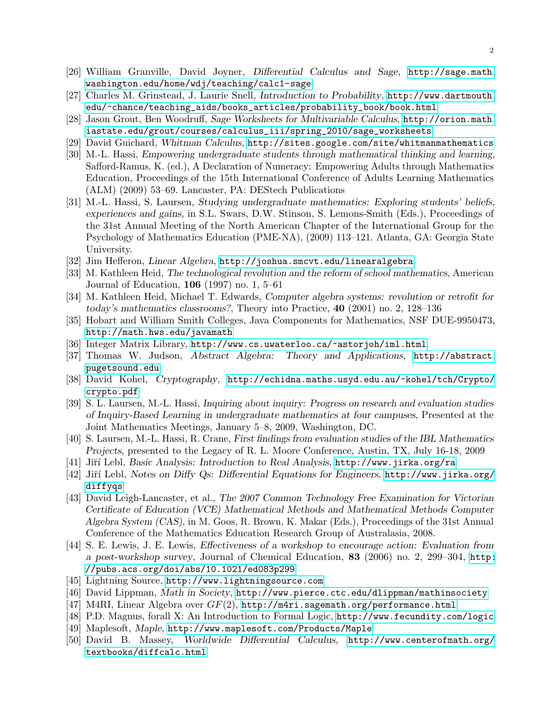- <span id="page-16-9"></span>[26] William Granville, David Joyner, Differential Calculus and Sage, [http://sage.math.](http://sage.math.washington.edu/home/wdj/teaching/calc1-sage) [washington.edu/home/wdj/teaching/calc1-sage](http://sage.math.washington.edu/home/wdj/teaching/calc1-sage)
- <span id="page-16-16"></span>[27] Charles M. Grinstead, J. Laurie Snell, Introduction to Probability, [http://www.dartmouth.](http://www.dartmouth.edu/~chance/teaching_aids/books_articles/probability_book/book.html) [edu/~chance/teaching\\_aids/books\\_articles/probability\\_book/book.html](http://www.dartmouth.edu/~chance/teaching_aids/books_articles/probability_book/book.html)
- <span id="page-16-18"></span>[28] Jason Grout, Ben Woodruff, Sage Worksheets for Multivariable Calculus, [http://orion.math.](http://orion.math.iastate.edu/grout/courses/calculus_iii/spring_2010/sage_worksheets) [iastate.edu/grout/courses/calculus\\_iii/spring\\_2010/sage\\_worksheets](http://orion.math.iastate.edu/grout/courses/calculus_iii/spring_2010/sage_worksheets)
- <span id="page-16-10"></span>[29] David Guichard, Whitman Calculus, <http://sites.google.com/site/whitmanmathematics>
- <span id="page-16-20"></span>[30] M.-L. Hassi, Empowering undergraduate students through mathematical thinking and learning, Safford-Ramus, K. (ed.), A Declaration of Numeracy: Empowering Adults through Mathematics Education, Proceedings of the 15th International Conference of Adults Learning Mathematics (ALM) (2009) 53–69. Lancaster, PA: DEStech Publications
- <span id="page-16-21"></span>[31] M.-L. Hassi, S. Laursen, Studying undergraduate mathematics: Exploring students' beliefs, experiences and gains, in S.L. Swars, D.W. Stinson, S. Lemons-Smith (Eds.), Proceedings of the 31st Annual Meeting of the North American Chapter of the International Group for the Psychology of Mathematics Education (PME-NA), (2009) 113–121. Atlanta, GA: Georgia State University.
- <span id="page-16-12"></span>[32] Jim Hefferon, Linear Algebra, <http://joshua.smcvt.edu/linearalgebra>
- <span id="page-16-1"></span>[33] M. Kathleen Heid, The technological revolution and the reform of school mathematics, American Journal of Education, 106 (1997) no. 1, 5–61
- <span id="page-16-2"></span>[34] M. Kathleen Heid, Michael T. Edwards, Computer algebra systems: revolution or retrofit for today's mathematics classrooms?, Theory into Practice, 40 (2001) no. 2, 128–136
- <span id="page-16-4"></span>[35] Hobart and William Smith Colleges, Java Components for Mathematics, NSF DUE-9950473, <http://math.hws.edu/javamath>
- <span id="page-16-5"></span>[36] Integer Matrix Library, <http://www.cs.uwaterloo.ca/~astorjoh/iml.html>
- <span id="page-16-7"></span>[37] Thomas W. Judson, Abstract Algebra: Theory and Applications, [http://abstract.](http://abstract.pugetsound.edu) [pugetsound.edu](http://abstract.pugetsound.edu)
- <span id="page-16-14"></span>[38] David Kohel, Cryptography, [http://echidna.maths.usyd.edu.au/~kohel/tch/Crypto/](http://echidna.maths.usyd.edu.au/~kohel/tch/Crypto/crypto.pdf) [crypto.pdf](http://echidna.maths.usyd.edu.au/~kohel/tch/Crypto/crypto.pdf)
- <span id="page-16-24"></span>[39] S. L. Laursen, M.-L. Hassi, Inquiring about inquiry: Progress on research and evaluation studies of Inquiry-Based Learning in undergraduate mathematics at four campuses, Presented at the Joint Mathematics Meetings, January 5–8, 2009, Washington, DC.
- <span id="page-16-22"></span>[40] S. Laursen, M.-L. Hassi, R. Crane, First findings from evaluation studies of the IBL Mathematics Projects, presented to the Legacy of R. L. Moore Conference, Austin, TX, July 16-18, 2009
- <span id="page-16-17"></span>[41] Jiří Lebl, Basic Analysis: Introduction to Real Analysis, <http://www.jirka.org/ra>
- <span id="page-16-13"></span>[42] Jiří Lebl, Notes on Diffy Qs: Differential Equations for Engineers, [http://www.jirka.org/](http://www.jirka.org/diffyqs) [diffyqs](http://www.jirka.org/diffyqs)
- <span id="page-16-3"></span>[43] David Leigh-Lancaster, et al., The 2007 Common Technology Free Examination for Victorian Certificate of Education (VCE) Mathematical Methods and Mathematical Methods Computer Algebra System (CAS), in M. Goos, R. Brown, K. Makar (Eds.), Proceedings of the 31st Annual Conference of the Mathematics Education Research Group of Australasia, 2008.
- <span id="page-16-19"></span>[44] S. E. Lewis, J. E. Lewis, Effectiveness of a workshop to encourage action: Evaluation from a post-workshop survey, Journal of Chemical Education, 83 (2006) no. 2, 299–304, [http:](http://pubs.acs.org/doi/abs/10.1021/ed083p299) [//pubs.acs.org/doi/abs/10.1021/ed083p299](http://pubs.acs.org/doi/abs/10.1021/ed083p299)
- <span id="page-16-23"></span>[45] Lightning Source, <http://www.lightningsource.com>
- <span id="page-16-8"></span>[46] David Lippman, Math in Society, <http://www.pierce.ctc.edu/dlippman/mathinsociety>
- <span id="page-16-6"></span>[47] M4RI, Linear Algebra over  $GF(2)$ , <http://m4ri.sagemath.org/performance.html>
- <span id="page-16-15"></span>[48] P.D. Magnus, forall X: An Introduction to Formal Logic, <http://www.fecundity.com/logic>
- <span id="page-16-0"></span>[49] Maplesoft, Maple, <http://www.maplesoft.com/Products/Maple>
- <span id="page-16-11"></span>[50] David B. Massey, Worldwide Differential Calculus, [http://www.centerofmath.org/](http://www.centerofmath.org/textbooks/diffcalc.html) [textbooks/diffcalc.html](http://www.centerofmath.org/textbooks/diffcalc.html)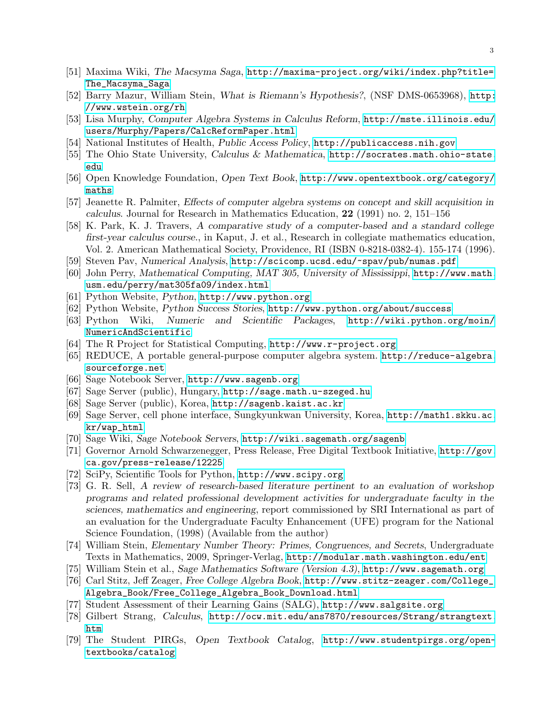- <span id="page-17-0"></span>[51] Maxima Wiki, The Macsyma Saga, [http://maxima-project.org/wiki/index.php?title=](http://maxima-project.org/wiki/index.php?title=The_Macsyma_Saga) [The\\_Macsyma\\_Saga](http://maxima-project.org/wiki/index.php?title=The_Macsyma_Saga)
- <span id="page-17-23"></span>[52] Barry Mazur, William Stein, What is Riemann's Hypothesis?, (NSF DMS-0653968), [http:](http://www.wstein.org/rh) [//www.wstein.org/rh](http://www.wstein.org/rh)
- [53] Lisa Murphy, Computer Algebra Systems in Calculus Reform, [http://mste.illinois.edu/](http://mste.illinois.edu/users/Murphy/Papers/CalcReformPaper.html) [users/Murphy/Papers/CalcReformPaper.html](http://mste.illinois.edu/users/Murphy/Papers/CalcReformPaper.html)
- <span id="page-17-7"></span>[54] National Institutes of Health, Public Access Policy, <http://publicaccess.nih.gov>
- <span id="page-17-4"></span>[55] The Ohio State University, Calculus & Mathematica, [http://socrates.math.ohio-state.](http://socrates.math.ohio-state.edu) [edu](http://socrates.math.ohio-state.edu)
- <span id="page-17-6"></span>[56] Open Knowledge Foundation, Open Text Book, [http://www.opentextbook.org/category/](http://www.opentextbook.org/category/maths) [maths](http://www.opentextbook.org/category/maths)
- <span id="page-17-2"></span>[57] Jeanette R. Palmiter, Effects of computer algebra systems on concept and skill acquisition in calculus. Journal for Research in Mathematics Education, 22 (1991) no. 2, 151–156
- <span id="page-17-3"></span>[58] K. Park, K. J. Travers, A comparative study of a computer-based and a standard college first-year calculus course., in Kaput, J. et al., Research in collegiate mathematics education, Vol. 2. American Mathematical Society, Providence, RI (ISBN 0-8218-0382-4). 155-174 (1996).
- <span id="page-17-22"></span>[59] Steven Pav, Numerical Analysis, <http://scicomp.ucsd.edu/~spav/pub/numas.pdf>
- <span id="page-17-24"></span>[60] John Perry, Mathematical Computing, MAT 305, University of Mississippi, [http://www.math.](http://www.math.usm.edu/perry/mat305fa09/index.html) [usm.edu/perry/mat305fa09/index.html](http://www.math.usm.edu/perry/mat305fa09/index.html)
- <span id="page-17-16"></span>[61] Python Website, Python, <http://www.python.org>
- <span id="page-17-18"></span>[62] Python Website, Python Success Stories, <http://www.python.org/about/success>
- <span id="page-17-17"></span>[63] Python Wiki, Numeric and Scientific Packages, [http://wiki.python.org/moin/](http://wiki.python.org/moin/NumericAndScientific) [NumericAndScientific](http://wiki.python.org/moin/NumericAndScientific)
- <span id="page-17-10"></span>[64] The R Project for Statistical Computing, <http://www.r-project.org>
- <span id="page-17-1"></span>[65] REDUCE, A portable general-purpose computer algebra system. [http://reduce-algebra.](http://reduce-algebra.sourceforge.net) [sourceforge.net](http://reduce-algebra.sourceforge.net)
- [66] Sage Notebook Server, <http://www.sagenb.org>
- <span id="page-17-14"></span>[67] Sage Server (public), Hungary, <http://sage.math.u-szeged.hu>
- <span id="page-17-13"></span>[68] Sage Server (public), Korea, <http://sagenb.kaist.ac.kr>
- <span id="page-17-12"></span>[69] Sage Server, cell phone interface, Sungkyunkwan University, Korea, [http://math1.skku.ac.](http://math1.skku.ac.kr/wap_html) [kr/wap\\_html](http://math1.skku.ac.kr/wap_html)
- <span id="page-17-15"></span>[70] Sage Wiki, Sage Notebook Servers, <http://wiki.sagemath.org/sagenb>
- <span id="page-17-9"></span>[71] Governor Arnold Schwarzenegger, Press Release, Free Digital Textbook Initiative, [http://gov.](http://gov.ca.gov/press-release/12225) [ca.gov/press-release/12225](http://gov.ca.gov/press-release/12225)
- <span id="page-17-11"></span>[72] SciPy, Scientific Tools for Python, <http://www.scipy.org>
- <span id="page-17-25"></span>[73] G. R. Sell, A review of research-based literature pertinent to an evaluation of workshop programs and related professional development activities for undergraduate faculty in the sciences, mathematics and engineering, report commissioned by SRI International as part of an evaluation for the Undergraduate Faculty Enhancement (UFE) program for the National Science Foundation, (1998) (Available from the author)
- <span id="page-17-19"></span>[74] William Stein, Elementary Number Theory: Primes, Congruences, and Secrets, Undergraduate Texts in Mathematics, 2009, Springer-Verlag, <http://modular.math.washington.edu/ent>
- <span id="page-17-5"></span>[75] William Stein et al., Sage Mathematics Software (Version 4.3), <http://www.sagemath.org>
- <span id="page-17-20"></span>[76] Carl Stitz, Jeff Zeager, Free College Algebra Book, [http://www.stitz-zeager.com/College\\_](http://www.stitz-zeager.com/College_Algebra_Book/Free_College_Algebra_Book_Download.html) [Algebra\\_Book/Free\\_College\\_Algebra\\_Book\\_Download.html](http://www.stitz-zeager.com/College_Algebra_Book/Free_College_Algebra_Book_Download.html)
- <span id="page-17-26"></span>[77] Student Assessment of their Learning Gains (SALG), <http://www.salgsite.org>
- <span id="page-17-21"></span>[78] Gilbert Strang, Calculus, [http://ocw.mit.edu/ans7870/resources/Strang/strangtext.](http://ocw.mit.edu/ans7870/resources/Strang/strangtext.htm) [htm](http://ocw.mit.edu/ans7870/resources/Strang/strangtext.htm)
- <span id="page-17-8"></span>[79] The Student PIRGs, Open Textbook Catalog, [http://www.studentpirgs.org/open](http://www.studentpirgs.org/open-textbooks/catalog)[textbooks/catalog](http://www.studentpirgs.org/open-textbooks/catalog)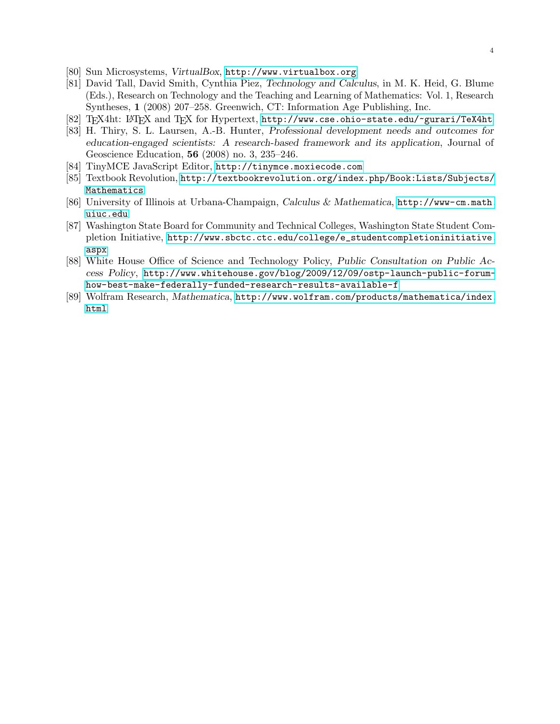4

- <span id="page-18-9"></span>[80] Sun Microsystems, VirtualBox, <http://www.virtualbox.org>
- <span id="page-18-1"></span>[81] David Tall, David Smith, Cynthia Piez, Technology and Calculus, in M. K. Heid, G. Blume (Eds.), Research on Technology and the Teaching and Learning of Mathematics: Vol. 1, Research Syntheses, 1 (2008) 207–258. Greenwich, CT: Information Age Publishing, Inc.
- <span id="page-18-7"></span>[82] TEX4ht: LATEX and TEX for Hypertext, <http://www.cse.ohio-state.edu/~gurari/TeX4ht>
- <span id="page-18-8"></span>[83] H. Thiry, S. L. Laursen, A.-B. Hunter, Professional development needs and outcomes for education-engaged scientists: A research-based framework and its application, Journal of Geoscience Education, 56 (2008) no. 3, 235–246.
- <span id="page-18-6"></span>[84] TinyMCE JavaScript Editor, <http://tinymce.moxiecode.com>
- <span id="page-18-4"></span>[85] Textbook Revolution, [http://textbookrevolution.org/index.php/Book:Lists/Subjects/](http://textbookrevolution.org/index.php/Book:Lists/Subjects/Mathematics) [Mathematics](http://textbookrevolution.org/index.php/Book:Lists/Subjects/Mathematics)
- <span id="page-18-2"></span>[86] University of Illinois at Urbana-Champaign, Calculus & Mathematica, [http://www-cm.math.](http://www-cm.math.uiuc.edu) [uiuc.edu](http://www-cm.math.uiuc.edu)
- <span id="page-18-5"></span>[87] Washington State Board for Community and Technical Colleges, Washington State Student Completion Initiative, [http://www.sbctc.ctc.edu/college/e\\_studentcompletioninitiative.](http://www.sbctc.ctc.edu/college/e_studentcompletioninitiative.aspx) [aspx](http://www.sbctc.ctc.edu/college/e_studentcompletioninitiative.aspx)
- <span id="page-18-3"></span>[88] White House Office of Science and Technology Policy, Public Consultation on Public Access Policy, [http://www.whitehouse.gov/blog/2009/12/09/ostp-launch-public-forum](http://www.whitehouse.gov/blog/2009/12/09/ostp-launch-public-forum-how-best-make-federally-funded-research-results-available-f)[how-best-make-federally-funded-research-results-available-f](http://www.whitehouse.gov/blog/2009/12/09/ostp-launch-public-forum-how-best-make-federally-funded-research-results-available-f)
- <span id="page-18-0"></span>[89] Wolfram Research, Mathematica, [http://www.wolfram.com/products/mathematica/index.](http://www.wolfram.com/products/mathematica/index.html) [html](http://www.wolfram.com/products/mathematica/index.html)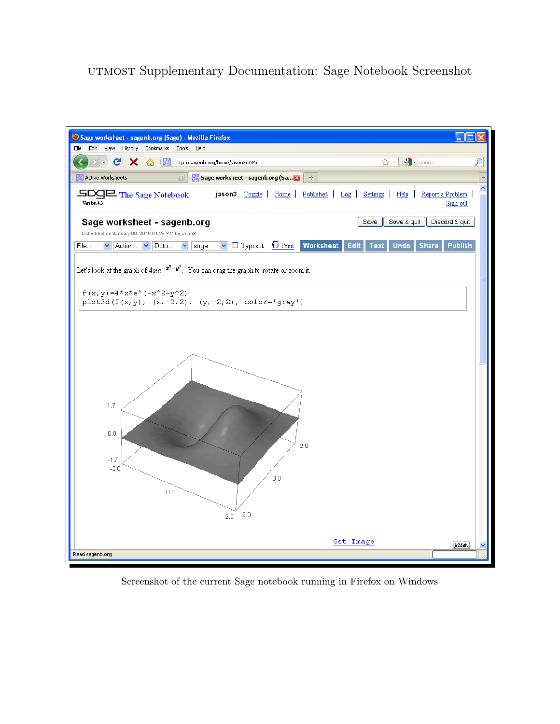# utmost Supplementary Documentation: Sage Notebook Screenshot



Screenshot of the current Sage notebook running in Firefox on Windows